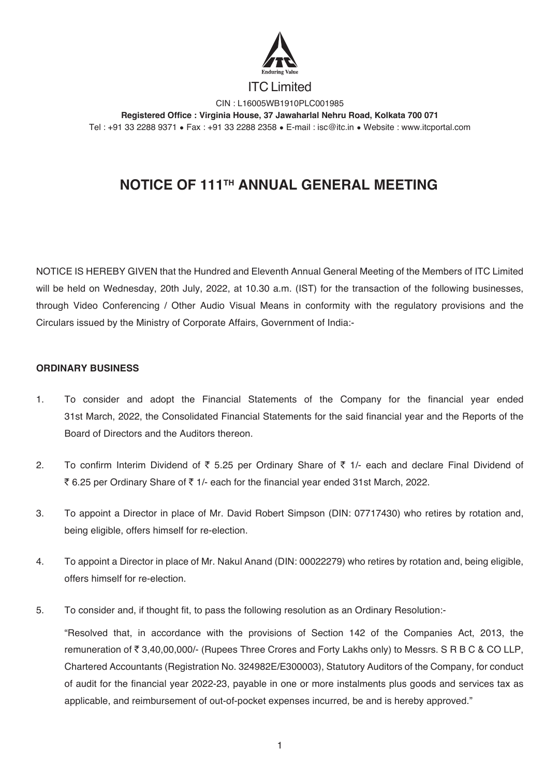

ITC Limited

CIN : L16005WB1910PLC001985 **Registered Office : Virginia House, 37 Jawaharlal Nehru Road, Kolkata 700 071** Tel : +91 33 2288 9371 • Fax : +91 33 2288 2358 • E-mail : isc@itc.in • Website : www.itcportal.com

# **NOTICE OF 111TH ANNUAL GENERAL MEETING**

NOTICE IS HEREBY GIVEN that the Hundred and Eleventh Annual General Meeting of the Members of ITC Limited will be held on Wednesday, 20th July, 2022, at 10.30 a.m. (IST) for the transaction of the following businesses, through Video Conferencing / Other Audio Visual Means in conformity with the regulatory provisions and the Circulars issued by the Ministry of Corporate Affairs, Government of India:-

# **ORDINARY BUSINESS**

- 1. To consider and adopt the Financial Statements of the Company for the financial year ended 31st March, 2022, the Consolidated Financial Statements for the said financial year and the Reports of the Board of Directors and the Auditors thereon.
- 2. To confirm Interim Dividend of  $\overline{\xi}$  5.25 per Ordinary Share of  $\overline{\xi}$  1/- each and declare Final Dividend of ₹ 6.25 per Ordinary Share of ₹ 1/- each for the financial year ended 31st March, 2022.
- 3. To appoint a Director in place of Mr. David Robert Simpson (DIN: 07717430) who retires by rotation and, being eligible, offers himself for re-election.
- 4. To appoint a Director in place of Mr. Nakul Anand (DIN: 00022279) who retires by rotation and, being eligible, offers himself for re-election.
- 5. To consider and, if thought fit, to pass the following resolution as an Ordinary Resolution:-

 "Resolved that, in accordance with the provisions of Section 142 of the Companies Act, 2013, the remuneration of  $\bar{\tau}$  3,40,00,000/- (Rupees Three Crores and Forty Lakhs only) to Messrs. S R B C & CO LLP, Chartered Accountants (Registration No. 324982E/E300003), Statutory Auditors of the Company, for conduct of audit for the financial year 2022-23, payable in one or more instalments plus goods and services tax as applicable, and reimbursement of out-of-pocket expenses incurred, be and is hereby approved."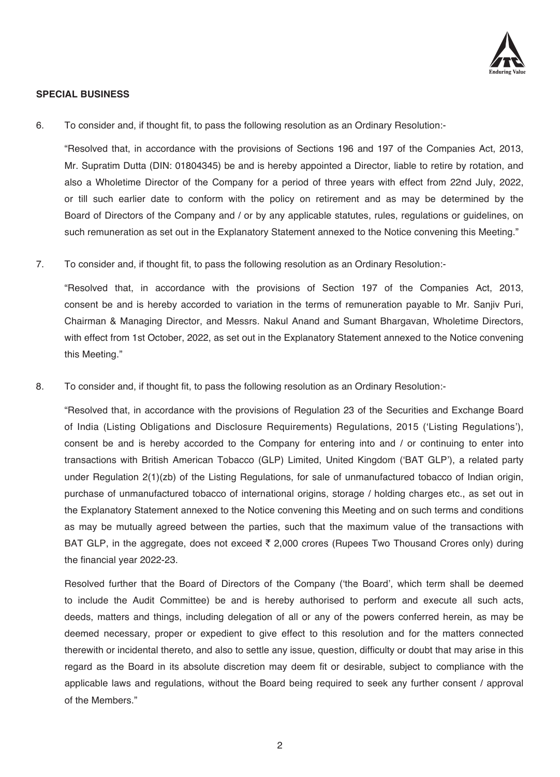

# **SPECIAL BUSINESS**

6. To consider and, if thought fit, to pass the following resolution as an Ordinary Resolution:-

 "Resolved that, in accordance with the provisions of Sections 196 and 197 of the Companies Act, 2013, Mr. Supratim Dutta (DIN: 01804345) be and is hereby appointed a Director, liable to retire by rotation, and also a Wholetime Director of the Company for a period of three years with effect from 22nd July, 2022, or till such earlier date to conform with the policy on retirement and as may be determined by the Board of Directors of the Company and / or by any applicable statutes, rules, regulations or guidelines, on such remuneration as set out in the Explanatory Statement annexed to the Notice convening this Meeting."

7. To consider and, if thought fit, to pass the following resolution as an Ordinary Resolution:-

 "Resolved that, in accordance with the provisions of Section 197 of the Companies Act, 2013, consent be and is hereby accorded to variation in the terms of remuneration payable to Mr. Sanjiv Puri, Chairman & Managing Director, and Messrs. Nakul Anand and Sumant Bhargavan, Wholetime Directors, with effect from 1st October, 2022, as set out in the Explanatory Statement annexed to the Notice convening this Meeting."

8. To consider and, if thought fit, to pass the following resolution as an Ordinary Resolution:-

"Resolved that, in accordance with the provisions of Regulation 23 of the Securities and Exchange Board of India (Listing Obligations and Disclosure Requirements) Regulations, 2015 ('Listing Regulations'), consent be and is hereby accorded to the Company for entering into and / or continuing to enter into transactions with British American Tobacco (GLP) Limited, United Kingdom ('BAT GLP'), a related party under Regulation 2(1)(zb) of the Listing Regulations, for sale of unmanufactured tobacco of Indian origin, purchase of unmanufactured tobacco of international origins, storage / holding charges etc., as set out in the Explanatory Statement annexed to the Notice convening this Meeting and on such terms and conditions as may be mutually agreed between the parties, such that the maximum value of the transactions with BAT GLP, in the aggregate, does not exceed  $\bar{\tau}$  2,000 crores (Rupees Two Thousand Crores only) during the financial year 2022-23.

 Resolved further that the Board of Directors of the Company ('the Board', which term shall be deemed to include the Audit Committee) be and is hereby authorised to perform and execute all such acts, deeds, matters and things, including delegation of all or any of the powers conferred herein, as may be deemed necessary, proper or expedient to give effect to this resolution and for the matters connected therewith or incidental thereto, and also to settle any issue, question, difficulty or doubt that may arise in this regard as the Board in its absolute discretion may deem fit or desirable, subject to compliance with the applicable laws and regulations, without the Board being required to seek any further consent / approval of the Members."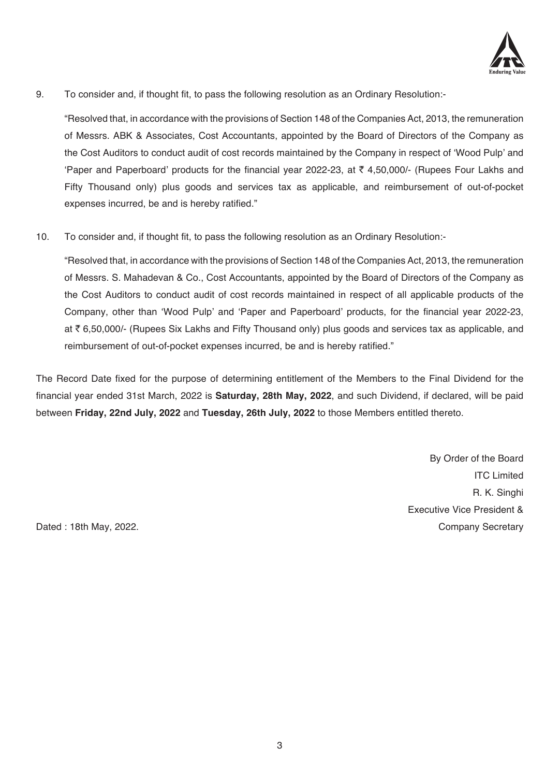

9. To consider and, if thought fit, to pass the following resolution as an Ordinary Resolution:-

 "Resolved that, in accordance with the provisions of Section 148 of the Companies Act, 2013, the remuneration of Messrs. ABK & Associates, Cost Accountants, appointed by the Board of Directors of the Company as the Cost Auditors to conduct audit of cost records maintained by the Company in respect of 'Wood Pulp' and 'Paper and Paperboard' products for the financial year 2022-23, at  $\bar{\tau}$  4,50,000/- (Rupees Four Lakhs and Fifty Thousand only) plus goods and services tax as applicable, and reimbursement of out-of-pocket expenses incurred, be and is hereby ratified."

10. To consider and, if thought fit, to pass the following resolution as an Ordinary Resolution:-

 "Resolved that, in accordance with the provisions of Section 148 of the Companies Act, 2013, the remuneration of Messrs. S. Mahadevan & Co., Cost Accountants, appointed by the Board of Directors of the Company as the Cost Auditors to conduct audit of cost records maintained in respect of all applicable products of the Company, other than 'Wood Pulp' and 'Paper and Paperboard' products, for the financial year 2022-23, at ` 6,50,000/- (Rupees Six Lakhs and Fifty Thousand only) plus goods and services tax as applicable, and reimbursement of out-of-pocket expenses incurred, be and is hereby ratified."

The Record Date fixed for the purpose of determining entitlement of the Members to the Final Dividend for the financial year ended 31st March, 2022 is **Saturday, 28th May, 2022**, and such Dividend, if declared, will be paid between **Friday, 22nd July, 2022** and **Tuesday, 26th July, 2022** to those Members entitled thereto.

By Order of the Board ITC Limited R. K. Singhi Executive Vice President & Dated : 18th May, 2022. Company Secretary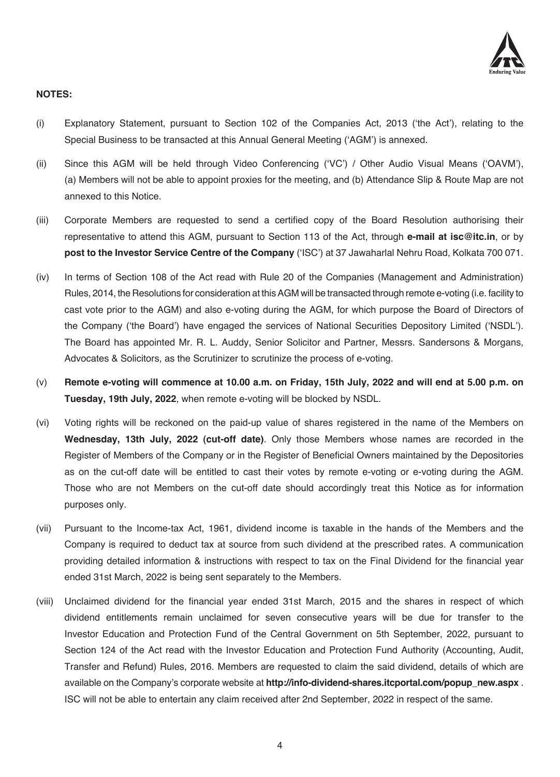

# **NOTES:**

- (i) Explanatory Statement, pursuant to Section 102 of the Companies Act, 2013 ('the Act'), relating to the Special Business to be transacted at this Annual General Meeting ('AGM') is annexed.
- (ii) Since this AGM will be held through Video Conferencing ('VC') / Other Audio Visual Means ('OAVM'), (a) Members will not be able to appoint proxies for the meeting, and (b) Attendance Slip & Route Map are not annexed to this Notice.
- (iii) Corporate Members are requested to send a certified copy of the Board Resolution authorising their representative to attend this AGM, pursuant to Section 113 of the Act, through **e-mail at isc@itc.in**, or by **post to the Investor Service Centre of the Company** ('ISC') at 37 Jawaharlal Nehru Road, Kolkata 700 071.
- (iv) In terms of Section 108 of the Act read with Rule 20 of the Companies (Management and Administration) Rules, 2014, the Resolutions for consideration at this AGM will be transacted through remote e-voting (i.e. facility to cast vote prior to the AGM) and also e-voting during the AGM, for which purpose the Board of Directors of the Company ('the Board') have engaged the services of National Securities Depository Limited ('NSDL'). The Board has appointed Mr. R. L. Auddy, Senior Solicitor and Partner, Messrs. Sandersons & Morgans, Advocates & Solicitors, as the Scrutinizer to scrutinize the process of e-voting.
- (v) **Remote e-voting will commence at 10.00 a.m. on Friday, 15th July, 2022 and will end at 5.00 p.m. on Tuesday, 19th July, 2022**, when remote e-voting will be blocked by NSDL.
- (vi) Voting rights will be reckoned on the paid-up value of shares registered in the name of the Members on **Wednesday, 13th July, 2022 (cut-off date)**. Only those Members whose names are recorded in the Register of Members of the Company or in the Register of Beneficial Owners maintained by the Depositories as on the cut-off date will be entitled to cast their votes by remote e-voting or e-voting during the AGM. Those who are not Members on the cut-off date should accordingly treat this Notice as for information purposes only.
- (vii) Pursuant to the Income-tax Act, 1961, dividend income is taxable in the hands of the Members and the Company is required to deduct tax at source from such dividend at the prescribed rates. A communication providing detailed information & instructions with respect to tax on the Final Dividend for the financial year ended 31st March, 2022 is being sent separately to the Members.
- (viii) Unclaimed dividend for the financial year ended 31st March, 2015 and the shares in respect of which dividend entitlements remain unclaimed for seven consecutive years will be due for transfer to the Investor Education and Protection Fund of the Central Government on 5th September, 2022, pursuant to Section 124 of the Act read with the Investor Education and Protection Fund Authority (Accounting, Audit, Transfer and Refund) Rules, 2016. Members are requested to claim the said dividend, details of which are available on the Company's corporate website at **http://info-dividend-shares.itcportal.com/popup\_new.aspx** . ISC will not be able to entertain any claim received after 2nd September, 2022 in respect of the same.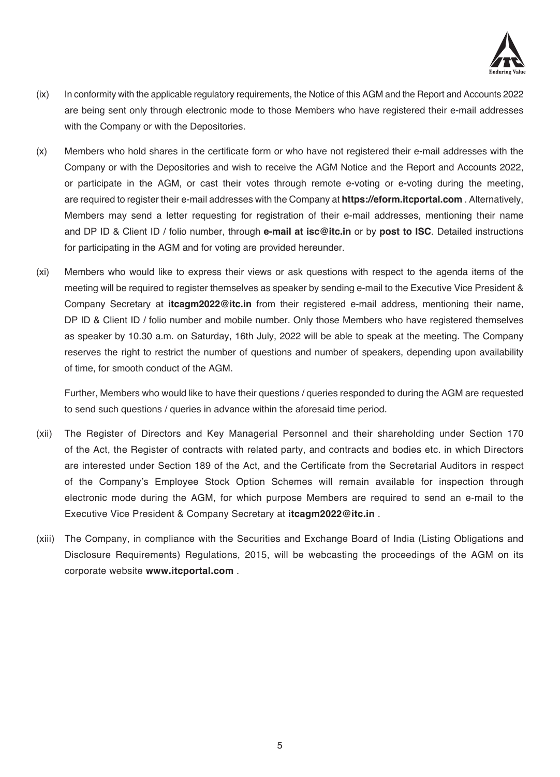

- (ix) In conformity with the applicable regulatory requirements, the Notice of this AGM and the Report and Accounts 2022 are being sent only through electronic mode to those Members who have registered their e-mail addresses with the Company or with the Depositories.
- (x) Members who hold shares in the certificate form or who have not registered their e-mail addresses with the Company or with the Depositories and wish to receive the AGM Notice and the Report and Accounts 2022, or participate in the AGM, or cast their votes through remote e-voting or e-voting during the meeting, are required to register their e-mail addresses with the Company at **https://eform.itcportal.com** . Alternatively, Members may send a letter requesting for registration of their e-mail addresses, mentioning their name and DP ID & Client ID / folio number, through **e-mail at isc@itc.in** or by **post to ISC**. Detailed instructions for participating in the AGM and for voting are provided hereunder.
- (xi) Members who would like to express their views or ask questions with respect to the agenda items of the meeting will be required to register themselves as speaker by sending e-mail to the Executive Vice President & Company Secretary at **itcagm2022@itc.in** from their registered e-mail address, mentioning their name, DP ID & Client ID / folio number and mobile number. Only those Members who have registered themselves as speaker by 10.30 a.m. on Saturday, 16th July, 2022 will be able to speak at the meeting. The Company reserves the right to restrict the number of questions and number of speakers, depending upon availability of time, for smooth conduct of the AGM.

 Further, Members who would like to have their questions / queries responded to during the AGM are requested to send such questions / queries in advance within the aforesaid time period.

- (xii) The Register of Directors and Key Managerial Personnel and their shareholding under Section 170 of the Act, the Register of contracts with related party, and contracts and bodies etc. in which Directors are interested under Section 189 of the Act, and the Certificate from the Secretarial Auditors in respect of the Company's Employee Stock Option Schemes will remain available for inspection through electronic mode during the AGM, for which purpose Members are required to send an e-mail to the Executive Vice President & Company Secretary at **itcagm2022@itc.in** .
- (xiii) The Company, in compliance with the Securities and Exchange Board of India (Listing Obligations and Disclosure Requirements) Regulations, 2015, will be webcasting the proceedings of the AGM on its corporate website **www.itcportal.com** .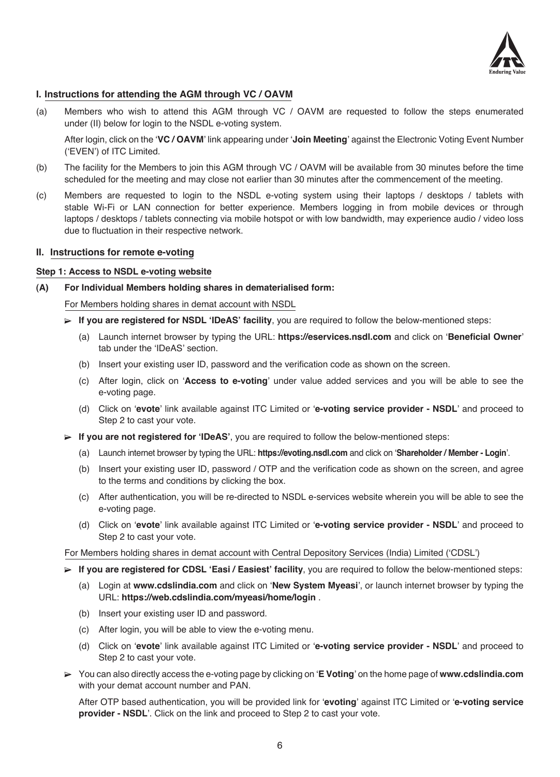

# **I. Instructions for attending the AGM through VC / OAVM**

(a) Members who wish to attend this AGM through VC / OAVM are requested to follow the steps enumerated under (II) below for login to the NSDL e-voting system.

 After login, click on the '**VC / OAVM**' link appearing under '**Join Meeting**' against the Electronic Voting Event Number ('EVEN') of ITC Limited.

- (b) The facility for the Members to join this AGM through VC / OAVM will be available from 30 minutes before the time scheduled for the meeting and may close not earlier than 30 minutes after the commencement of the meeting.
- (c) Members are requested to login to the NSDL e-voting system using their laptops / desktops / tablets with stable Wi-Fi or LAN connection for better experience. Members logging in from mobile devices or through laptops / desktops / tablets connecting via mobile hotspot or with low bandwidth, may experience audio / video loss due to fluctuation in their respective network.

# **II. Instructions for remote e-voting**

### **Step 1: Access to NSDL e-voting website**

**(A) For Individual Members holding shares in dematerialised form:**

For Members holding shares in demat account with NSDL

- **If you are registered for NSDL 'IDeAS' facility**, you are required to follow the below-mentioned steps:
	- (a) Launch internet browser by typing the URL: **https://eservices.nsdl.com** and click on '**Beneficial Owner**' tab under the 'IDeAS' section.
	- (b) Insert your existing user ID, password and the verification code as shown on the screen.
	- (c) After login, click on '**Access to e-voting**' under value added services and you will be able to see the e-voting page.
	- (d) Click on '**evote**' link available against ITC Limited or '**e-voting service provider NSDL**' and proceed to Step 2 to cast your vote.
- **If you are not registered for 'IDeAS'**, you are required to follow the below-mentioned steps:
	- (a) Launch internet browser by typing the URL: **https://evoting.nsdl.com** and click on '**Shareholder / Member Login**'.
	- (b) Insert your existing user ID, password / OTP and the verification code as shown on the screen, and agree to the terms and conditions by clicking the box.
	- (c) After authentication, you will be re-directed to NSDL e-services website wherein you will be able to see the e-voting page.
	- (d) Click on '**evote**' link available against ITC Limited or '**e-voting service provider NSDL**' and proceed to Step 2 to cast your vote.

For Members holding shares in demat account with Central Depository Services (India) Limited ('CDSL')

- **If you are registered for CDSL 'Easi / Easiest' facility**, you are required to follow the below-mentioned steps:
	- (a) Login at **www.cdslindia.com** and click on '**New System Myeasi**', or launch internet browser by typing the URL: **https://web.cdslindia.com/myeasi/home/login** .
	- (b) Insert your existing user ID and password.
	- (c) After login, you will be able to view the e-voting menu.
	- (d) Click on '**evote**' link available against ITC Limited or '**e-voting service provider NSDL**' and proceed to Step 2 to cast your vote.
- You can also directly access the e-voting page by clicking on '**E Voting**' on the home page of **www.cdslindia.com** with your demat account number and PAN.

 After OTP based authentication, you will be provided link for '**evoting**' against ITC Limited or '**e-voting service provider - NSDL**'. Click on the link and proceed to Step 2 to cast your vote.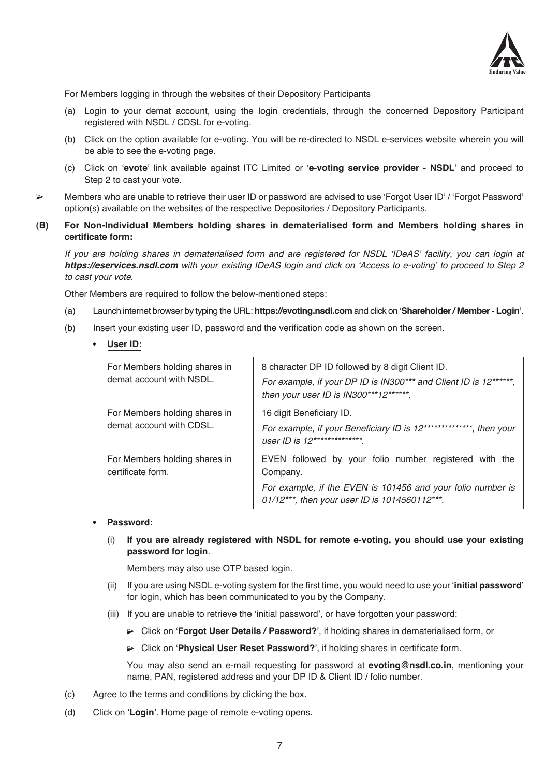

### For Members logging in through the websites of their Depository Participants

- (a) Login to your demat account, using the login credentials, through the concerned Depository Participant registered with NSDL / CDSL for e-voting.
- (b) Click on the option available for e-voting. You will be re-directed to NSDL e-services website wherein you will be able to see the e-voting page.
- (c) Click on '**evote**' link available against ITC Limited or '**e-voting service provider NSDL**' and proceed to Step 2 to cast your vote.
- Members who are unable to retrieve their user ID or password are advised to use 'Forgot User ID' / 'Forgot Password' option(s) available on the websites of the respective Depositories / Depository Participants.
- **(B) For Non-Individual Members holding shares in dematerialised form and Members holding shares in certificate form:**

 If you are holding shares in dematerialised form and are registered for NSDL 'IDeAS' facility, you can login at **https://eservices.nsdl.com** with your existing IDeAS login and click on 'Access to e-voting' to proceed to Step 2 to cast your vote.

Other Members are required to follow the below-mentioned steps:

- (a) Launch internet browser by typing the URL: **https://evoting.nsdl.com** and click on '**Shareholder / Member Login**'.
- (b) Insert your existing user ID, password and the verification code as shown on the screen.

## **User ID:**

| For Members holding shares in                      | 8 character DP ID followed by 8 digit Client ID.                                                             |
|----------------------------------------------------|--------------------------------------------------------------------------------------------------------------|
| demat account with NSDL.                           | For example, if your DP ID is IN300*** and Client ID is 12******,<br>then your user ID is IN300***12******.  |
| For Members holding shares in                      | 16 digit Beneficiary ID.                                                                                     |
| demat account with CDSL.                           | For example, if your Beneficiary ID is 12***************, then your<br>user ID is 12***************          |
| For Members holding shares in<br>certificate form. | EVEN followed by your folio number registered with the<br>Company.                                           |
|                                                    | For example, if the EVEN is 101456 and your folio number is<br>01/12***, then your user ID is 1014560112***. |

#### **Password:**

 (i) **If you are already registered with NSDL for remote e-voting, you should use your existing password for login**.

Members may also use OTP based login.

- (ii) If you are using NSDL e-voting system for the first time, you would need to use your '**initial password**' for login, which has been communicated to you by the Company.
- (iii) If you are unable to retrieve the 'initial password', or have forgotten your password:
	- Click on '**Forgot User Details / Password?**', if holding shares in dematerialised form, or
	- Click on '**Physical User Reset Password?**', if holding shares in certificate form.

 You may also send an e-mail requesting for password at **evoting@nsdl.co.in**, mentioning your name, PAN, registered address and your DP ID & Client ID / folio number.

- (c) Agree to the terms and conditions by clicking the box.
- (d) Click on '**Login**'. Home page of remote e-voting opens.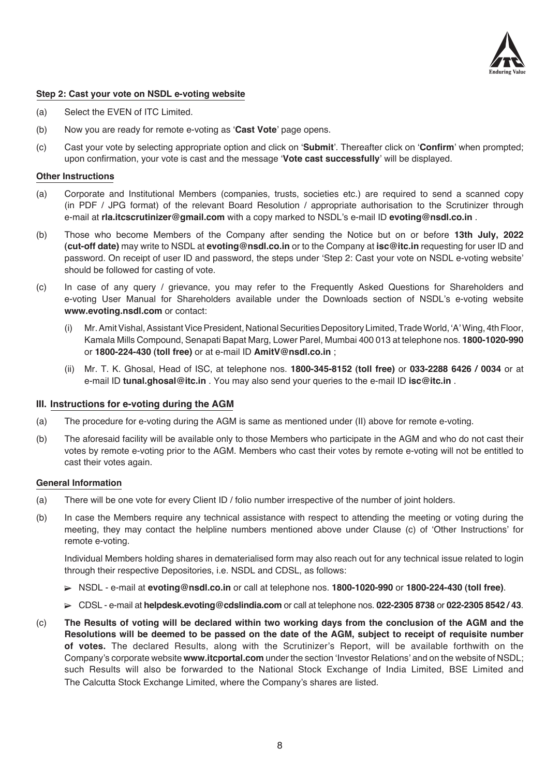

## **Step 2: Cast your vote on NSDL e-voting website**

- (a) Select the EVEN of ITC Limited.
- (b) Now you are ready for remote e-voting as '**Cast Vote**' page opens.
- (c) Cast your vote by selecting appropriate option and click on '**Submit**'. Thereafter click on '**Confirm**' when prompted; upon confirmation, your vote is cast and the message '**Vote cast successfully**' will be displayed.

#### **Other Instructions**

- (a) Corporate and Institutional Members (companies, trusts, societies etc.) are required to send a scanned copy (in PDF / JPG format) of the relevant Board Resolution / appropriate authorisation to the Scrutinizer through e-mail at **rla.itcscrutinizer@gmail.com** with a copy marked to NSDL's e-mail ID **evoting@nsdl.co.in** .
- (b) Those who become Members of the Company after sending the Notice but on or before **13th July, 2022 (cut-off date)** may write to NSDL at **evoting@nsdl.co.in** or to the Company at **isc@itc.in** requesting for user ID and password. On receipt of user ID and password, the steps under 'Step 2: Cast your vote on NSDL e-voting website' should be followed for casting of vote.
- (c) In case of any query / grievance, you may refer to the Frequently Asked Questions for Shareholders and e-voting User Manual for Shareholders available under the Downloads section of NSDL's e-voting website **www.evoting.nsdl.com** or contact:
	- Mr. Amit Vishal, Assistant Vice President, National Securities Depository Limited, Trade World, 'A' Wing, 4th Floor, Kamala Mills Compound, Senapati Bapat Marg, Lower Parel, Mumbai 400 013 at telephone nos. **1800-1020-990**  or **1800-224-430 (toll free)** or at e-mail ID **AmitV@nsdl.co.in** ;
	- (ii) Mr. T. K. Ghosal, Head of ISC, at telephone nos. **1800-345-8152 (toll free)** or **033-2288 6426 / 0034** or at e-mail ID **tunal.ghosal@itc.in** . You may also send your queries to the e-mail ID **isc@itc.in** .

#### **III. Instructions for e-voting during the AGM**

- (a) The procedure for e-voting during the AGM is same as mentioned under (II) above for remote e-voting.
- (b) The aforesaid facility will be available only to those Members who participate in the AGM and who do not cast their votes by remote e-voting prior to the AGM. Members who cast their votes by remote e-voting will not be entitled to cast their votes again.

#### **General Information**

- (a) There will be one vote for every Client ID / folio number irrespective of the number of joint holders.
- (b) In case the Members require any technical assistance with respect to attending the meeting or voting during the meeting, they may contact the helpline numbers mentioned above under Clause (c) of 'Other Instructions' for remote e-voting.

 Individual Members holding shares in dematerialised form may also reach out for any technical issue related to login through their respective Depositories, i.e. NSDL and CDSL, as follows:

- NSDL e-mail at **evoting@nsdl.co.in** or call at telephone nos. **1800-1020-990** or **1800-224-430 (toll free)**.
- CDSL e-mail at **helpdesk.evoting@cdslindia.com** or call at telephone nos. **022-2305 8738** or **022-2305 8542 / 43**.
- (c) **The Results of voting will be declared within two working days from the conclusion of the AGM and the Resolutions will be deemed to be passed on the date of the AGM, subject to receipt of requisite number of votes.** The declared Results, along with the Scrutinizer's Report, will be available forthwith on the Company's corporate website **www.itcportal.com** under the section 'Investor Relations' and on the website of NSDL; such Results will also be forwarded to the National Stock Exchange of India Limited, BSE Limited and The Calcutta Stock Exchange Limited, where the Company's shares are listed.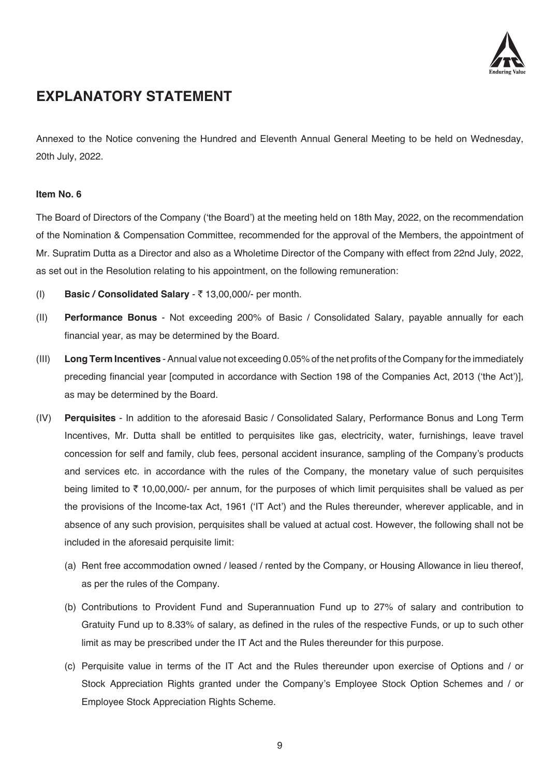

# **EXPLANATORY STATEMENT**

Annexed to the Notice convening the Hundred and Eleventh Annual General Meeting to be held on Wednesday, 20th July, 2022.

# **Item No. 6**

The Board of Directors of the Company ('the Board') at the meeting held on 18th May, 2022, on the recommendation of the Nomination & Compensation Committee, recommended for the approval of the Members, the appointment of Mr. Supratim Dutta as a Director and also as a Wholetime Director of the Company with effect from 22nd July, 2022, as set out in the Resolution relating to his appointment, on the following remuneration:

- (I) **Basic / Consolidated Salary**  ` 13,00,000/- per month.
- (II) **Performance Bonus**  Not exceeding 200% of Basic / Consolidated Salary, payable annually for each financial year, as may be determined by the Board.
- (III) **Long Term Incentives**  Annual value not exceeding 0.05% of the net profits of the Company for the immediately preceding financial year [computed in accordance with Section 198 of the Companies Act, 2013 ('the Act')], as may be determined by the Board.
- (IV) **Perquisites**  In addition to the aforesaid Basic / Consolidated Salary, Performance Bonus and Long Term Incentives, Mr. Dutta shall be entitled to perquisites like gas, electricity, water, furnishings, leave travel concession for self and family, club fees, personal accident insurance, sampling of the Company's products and services etc. in accordance with the rules of the Company, the monetary value of such perquisites being limited to  $\bar{\tau}$  10,00,000/- per annum, for the purposes of which limit perquisites shall be valued as per the provisions of the Income-tax Act, 1961 ('IT Act') and the Rules thereunder, wherever applicable, and in absence of any such provision, perquisites shall be valued at actual cost. However, the following shall not be included in the aforesaid perquisite limit:
	- (a) Rent free accommodation owned / leased / rented by the Company, or Housing Allowance in lieu thereof, as per the rules of the Company.
	- (b) Contributions to Provident Fund and Superannuation Fund up to 27% of salary and contribution to Gratuity Fund up to 8.33% of salary, as defined in the rules of the respective Funds, or up to such other limit as may be prescribed under the IT Act and the Rules thereunder for this purpose.
	- (c) Perquisite value in terms of the IT Act and the Rules thereunder upon exercise of Options and / or Stock Appreciation Rights granted under the Company's Employee Stock Option Schemes and / or Employee Stock Appreciation Rights Scheme.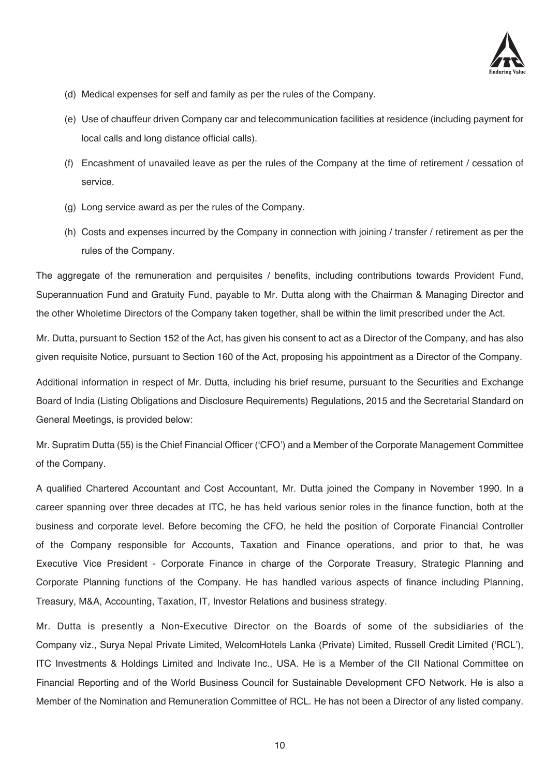

- (d) Medical expenses for self and family as per the rules of the Company.
- (e) Use of chauffeur driven Company car and telecommunication facilities at residence (including payment for local calls and long distance official calls).
- (f) Encashment of unavailed leave as per the rules of the Company at the time of retirement / cessation of service.
- (g) Long service award as per the rules of the Company.
- (h) Costs and expenses incurred by the Company in connection with joining / transfer / retirement as per the rules of the Company.

The aggregate of the remuneration and perquisites / benefits, including contributions towards Provident Fund, Superannuation Fund and Gratuity Fund, payable to Mr. Dutta along with the Chairman & Managing Director and the other Wholetime Directors of the Company taken together, shall be within the limit prescribed under the Act.

Mr. Dutta, pursuant to Section 152 of the Act, has given his consent to act as a Director of the Company, and has also given requisite Notice, pursuant to Section 160 of the Act, proposing his appointment as a Director of the Company.

Additional information in respect of Mr. Dutta, including his brief resume, pursuant to the Securities and Exchange Board of India (Listing Obligations and Disclosure Requirements) Regulations, 2015 and the Secretarial Standard on General Meetings, is provided below:

Mr. Supratim Dutta (55) is the Chief Financial Officer ('CFO') and a Member of the Corporate Management Committee of the Company.

A qualified Chartered Accountant and Cost Accountant, Mr. Dutta joined the Company in November 1990. In a career spanning over three decades at ITC, he has held various senior roles in the finance function, both at the business and corporate level. Before becoming the CFO, he held the position of Corporate Financial Controller of the Company responsible for Accounts, Taxation and Finance operations, and prior to that, he was Executive Vice President - Corporate Finance in charge of the Corporate Treasury, Strategic Planning and Corporate Planning functions of the Company. He has handled various aspects of finance including Planning, Treasury, M&A, Accounting, Taxation, IT, Investor Relations and business strategy.

Mr. Dutta is presently a Non-Executive Director on the Boards of some of the subsidiaries of the Company viz., Surya Nepal Private Limited, WelcomHotels Lanka (Private) Limited, Russell Credit Limited ('RCL'), ITC Investments & Holdings Limited and Indivate Inc., USA. He is a Member of the CII National Committee on Financial Reporting and of the World Business Council for Sustainable Development CFO Network. He is also a Member of the Nomination and Remuneration Committee of RCL. He has not been a Director of any listed company.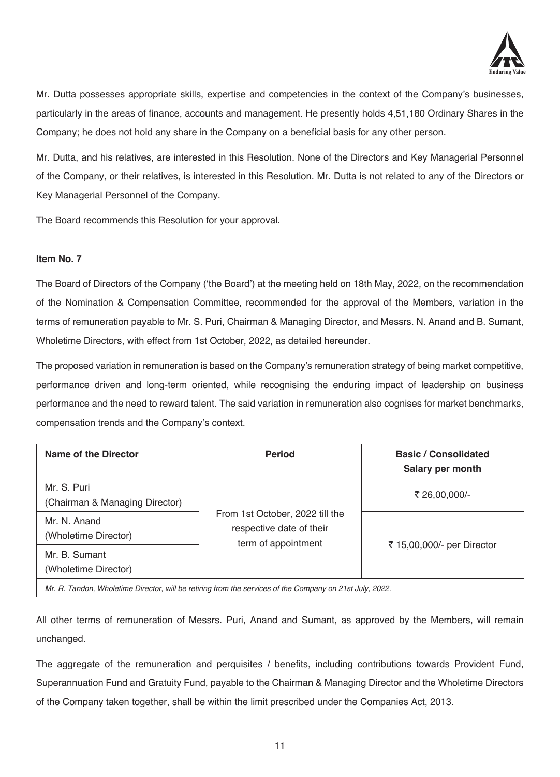

Mr. Dutta possesses appropriate skills, expertise and competencies in the context of the Company's businesses, particularly in the areas of finance, accounts and management. He presently holds 4,51,180 Ordinary Shares in the Company; he does not hold any share in the Company on a beneficial basis for any other person.

Mr. Dutta, and his relatives, are interested in this Resolution. None of the Directors and Key Managerial Personnel of the Company, or their relatives, is interested in this Resolution. Mr. Dutta is not related to any of the Directors or Key Managerial Personnel of the Company.

The Board recommends this Resolution for your approval.

# **Item No. 7**

The Board of Directors of the Company ('the Board') at the meeting held on 18th May, 2022, on the recommendation of the Nomination & Compensation Committee, recommended for the approval of the Members, variation in the terms of remuneration payable to Mr. S. Puri, Chairman & Managing Director, and Messrs. N. Anand and B. Sumant, Wholetime Directors, with effect from 1st October, 2022, as detailed hereunder.

The proposed variation in remuneration is based on the Company's remuneration strategy of being market competitive, performance driven and long-term oriented, while recognising the enduring impact of leadership on business performance and the need to reward talent. The said variation in remuneration also cognises for market benchmarks, compensation trends and the Company's context.

| Name of the Director                                                                                      | <b>Period</b>                                                                      | <b>Basic / Consolidated</b><br>Salary per month |  |  |  |
|-----------------------------------------------------------------------------------------------------------|------------------------------------------------------------------------------------|-------------------------------------------------|--|--|--|
| Mr. S. Puri<br>(Chairman & Managing Director)                                                             | From 1st October, 2022 till the<br>respective date of their<br>term of appointment | ₹ 26,00,000/-                                   |  |  |  |
| Mr. N. Anand<br>(Wholetime Director)                                                                      |                                                                                    | ₹ 15,00,000/- per Director                      |  |  |  |
| Mr. B. Sumant<br>(Wholetime Director)                                                                     |                                                                                    |                                                 |  |  |  |
| $Mr$ P. Tandon, Wholetime Director, will be retiring from the censices of the Company on 21st, luly, 2022 |                                                                                    |                                                 |  |  |  |

Wholetime Director, will be retiring from the services of the Company on 21st July, 202

All other terms of remuneration of Messrs. Puri, Anand and Sumant, as approved by the Members, will remain unchanged.

The aggregate of the remuneration and perquisites / benefits, including contributions towards Provident Fund, Superannuation Fund and Gratuity Fund, payable to the Chairman & Managing Director and the Wholetime Directors of the Company taken together, shall be within the limit prescribed under the Companies Act, 2013.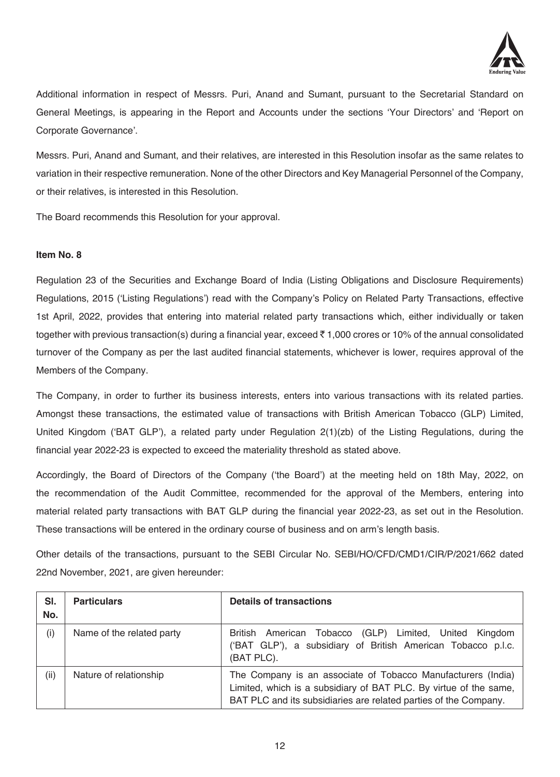

Additional information in respect of Messrs. Puri, Anand and Sumant, pursuant to the Secretarial Standard on General Meetings, is appearing in the Report and Accounts under the sections 'Your Directors' and 'Report on Corporate Governance'.

Messrs. Puri, Anand and Sumant, and their relatives, are interested in this Resolution insofar as the same relates to variation in their respective remuneration. None of the other Directors and Key Managerial Personnel of the Company, or their relatives, is interested in this Resolution.

The Board recommends this Resolution for your approval.

# **Item No. 8**

Regulation 23 of the Securities and Exchange Board of India (Listing Obligations and Disclosure Requirements) Regulations, 2015 ('Listing Regulations') read with the Company's Policy on Related Party Transactions, effective 1st April, 2022, provides that entering into material related party transactions which, either individually or taken together with previous transaction(s) during a financial year, exceed  $\bar{\tau}$  1,000 crores or 10% of the annual consolidated turnover of the Company as per the last audited financial statements, whichever is lower, requires approval of the Members of the Company.

The Company, in order to further its business interests, enters into various transactions with its related parties. Amongst these transactions, the estimated value of transactions with British American Tobacco (GLP) Limited, United Kingdom ('BAT GLP'), a related party under Regulation 2(1)(zb) of the Listing Regulations, during the financial year 2022-23 is expected to exceed the materiality threshold as stated above.

Accordingly, the Board of Directors of the Company ('the Board') at the meeting held on 18th May, 2022, on the recommendation of the Audit Committee, recommended for the approval of the Members, entering into material related party transactions with BAT GLP during the financial year 2022-23, as set out in the Resolution. These transactions will be entered in the ordinary course of business and on arm's length basis.

Other details of the transactions, pursuant to the SEBI Circular No. SEBI/HO/CFD/CMD1/CIR/P/2021/662 dated 22nd November, 2021, are given hereunder:

| SI.<br>No. | <b>Particulars</b>        | <b>Details of transactions</b>                                                                                                                                                                        |  |
|------------|---------------------------|-------------------------------------------------------------------------------------------------------------------------------------------------------------------------------------------------------|--|
| (i)        | Name of the related party | British American Tobacco (GLP)<br>Limited, United Kingdom<br>('BAT GLP'), a subsidiary of British American Tobacco p.l.c.<br>(BAT PLC).                                                               |  |
| (ii)       | Nature of relationship    | The Company is an associate of Tobacco Manufacturers (India)<br>Limited, which is a subsidiary of BAT PLC. By virtue of the same,<br>BAT PLC and its subsidiaries are related parties of the Company. |  |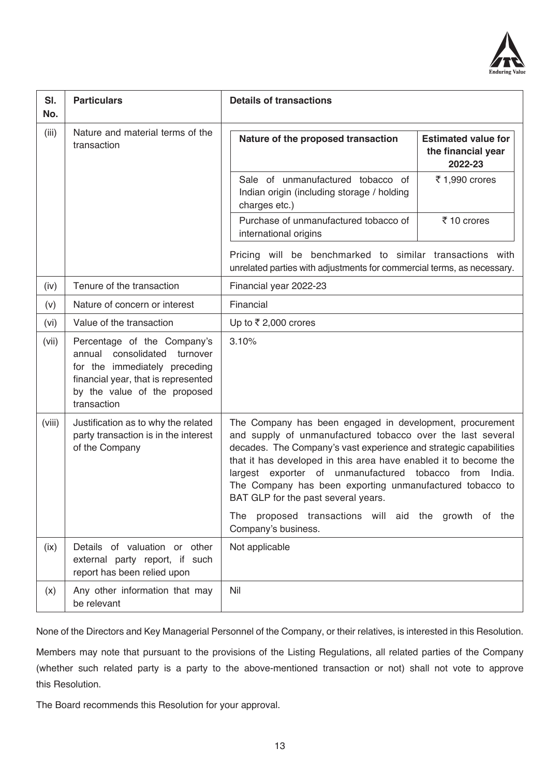

| SI.<br>No. | <b>Particulars</b>                                                                                                                                                                       | <b>Details of transactions</b>                                                                                                                                                                                                                                                                                                                                                                                                                                                                                    |                                                             |
|------------|------------------------------------------------------------------------------------------------------------------------------------------------------------------------------------------|-------------------------------------------------------------------------------------------------------------------------------------------------------------------------------------------------------------------------------------------------------------------------------------------------------------------------------------------------------------------------------------------------------------------------------------------------------------------------------------------------------------------|-------------------------------------------------------------|
| (iii)      | Nature and material terms of the<br>transaction                                                                                                                                          | Nature of the proposed transaction                                                                                                                                                                                                                                                                                                                                                                                                                                                                                | <b>Estimated value for</b><br>the financial year<br>2022-23 |
|            |                                                                                                                                                                                          | Sale of unmanufactured tobacco of<br>Indian origin (including storage / holding<br>charges etc.)                                                                                                                                                                                                                                                                                                                                                                                                                  | ₹ 1,990 crores                                              |
|            |                                                                                                                                                                                          | Purchase of unmanufactured tobacco of<br>international origins                                                                                                                                                                                                                                                                                                                                                                                                                                                    | ₹ 10 crores                                                 |
|            |                                                                                                                                                                                          | Pricing will be benchmarked to similar transactions with<br>unrelated parties with adjustments for commercial terms, as necessary.                                                                                                                                                                                                                                                                                                                                                                                |                                                             |
| (iv)       | Tenure of the transaction                                                                                                                                                                | Financial year 2022-23                                                                                                                                                                                                                                                                                                                                                                                                                                                                                            |                                                             |
| (v)        | Nature of concern or interest                                                                                                                                                            | Financial                                                                                                                                                                                                                                                                                                                                                                                                                                                                                                         |                                                             |
| (vi)       | Value of the transaction                                                                                                                                                                 | Up to ₹2,000 crores                                                                                                                                                                                                                                                                                                                                                                                                                                                                                               |                                                             |
| (vii)      | Percentage of the Company's<br>annual<br>consolidated<br>turnover<br>for the immediately preceding<br>financial year, that is represented<br>by the value of the proposed<br>transaction | 3.10%                                                                                                                                                                                                                                                                                                                                                                                                                                                                                                             |                                                             |
| (viii)     | Justification as to why the related<br>party transaction is in the interest<br>of the Company                                                                                            | The Company has been engaged in development, procurement<br>and supply of unmanufactured tobacco over the last several<br>decades. The Company's vast experience and strategic capabilities<br>that it has developed in this area have enabled it to become the<br>largest exporter of unmanufactured tobacco from<br>India.<br>The Company has been exporting unmanufactured tobacco to<br>BAT GLP for the past several years.<br>proposed transactions will aid the growth of the<br>The<br>Company's business. |                                                             |
| (ix)       | Details of valuation or other<br>external party report, if such                                                                                                                          | Not applicable                                                                                                                                                                                                                                                                                                                                                                                                                                                                                                    |                                                             |
|            | report has been relied upon                                                                                                                                                              |                                                                                                                                                                                                                                                                                                                                                                                                                                                                                                                   |                                                             |
| (x)        | Any other information that may<br>be relevant                                                                                                                                            | Nil                                                                                                                                                                                                                                                                                                                                                                                                                                                                                                               |                                                             |

None of the Directors and Key Managerial Personnel of the Company, or their relatives, is interested in this Resolution.

Members may note that pursuant to the provisions of the Listing Regulations, all related parties of the Company (whether such related party is a party to the above-mentioned transaction or not) shall not vote to approve this Resolution.

The Board recommends this Resolution for your approval.